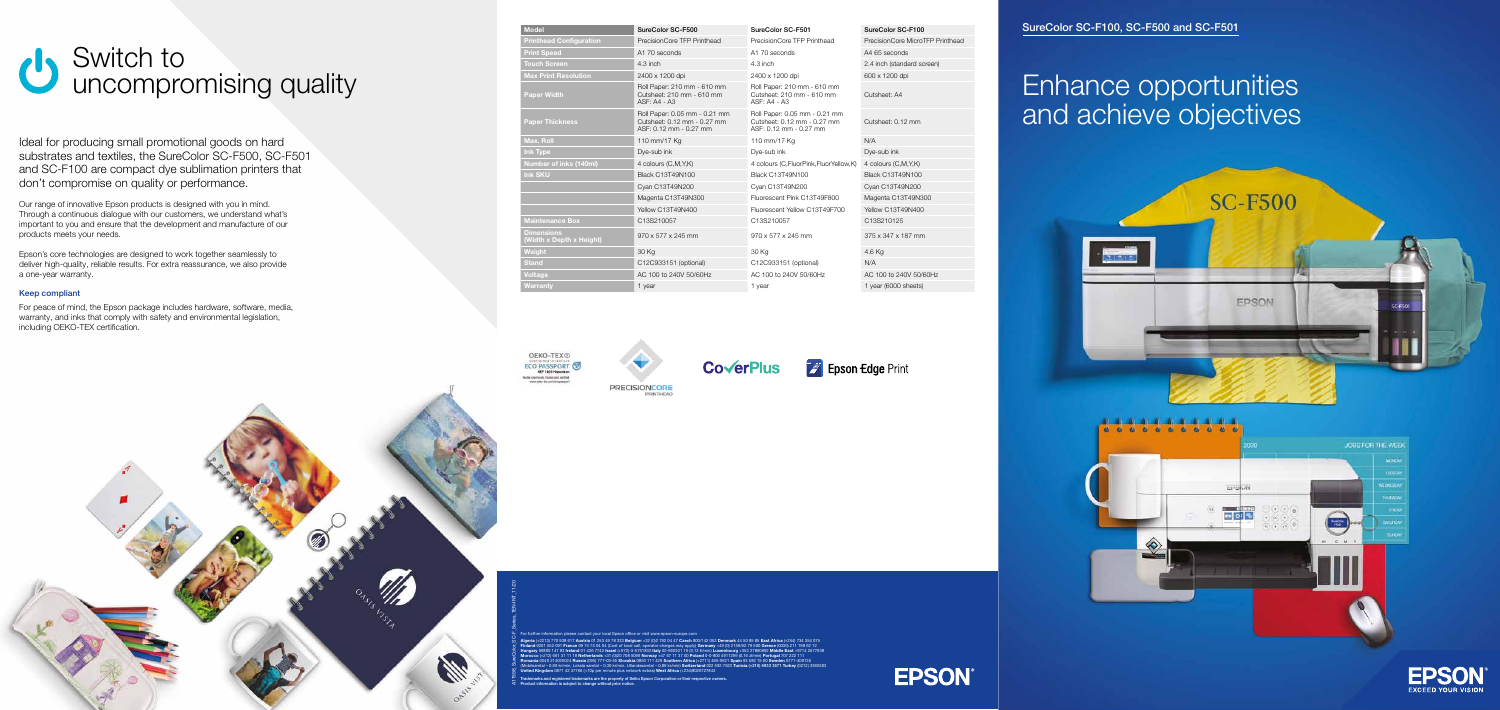A11598\_SureColor\_SC-F\_Series\_1EN-INT\_11/20

For further information please contact your local Epson office or visit www.epson-europe.com Algeria (+2213) 770 938 617 Austria 01 253 49 78 333 Belgium +32 (0)2 792 04 47 Czech 800/142 052 Denmark 44 50 85 85 East Africa (+254) 734 354 075 Finland 0201 552 091 France 09 74 75 04 04 (Cost of local call, operator charges may apply) Germany +49 (0) 2159/92 79 500 Greece (0030) 211 198 62 12 Hungary 06800 147 83 Ireland 01 436 7742 Israel (+972)-3-5751833 Italy 02-660321 10 (0,12 €/min) Luxembourg +352 27860692 Middle East +9714 2677638 Morocco (+212) 661 31 11 18 Netherlands +31 (0)20 708 5099 Norway +47 67 11 37 00 Poland 0-0-800 4911299 (0,16 zł/min) Portugal 707 222 111 Romania 0040 214025024 Russia (095) 777-03-55 Slovakia 0850 111 429 Southern Africa (+2711) 465-9621 Spain 93 582 15 00 Sweden 0771-400135 (Mobilsamtal – 0,99 kr/min, Lokala samtal – 0,30 kr/min, Utlandssamtal – 0,89 kr/min) Switzerland 022 592 7923 Tunisia (+216) 9833 3571 Turkey (0212) 3360303 United Kingdom 0871 42 37766 (+10p per minute plus network extras) West Africa (+234)8020727843

Trademarks and registered trademarks are the property of Seiko Epson Corporation or their respective owners.

Product information is subject to change without prior notice.

#### ureColor SC-F501 SureColor SC-F100

Precision Core TFP Printhead Precision Core MicroTFP Printhead

To inch  $\overline{2.4}$  inch (standard screen)

Ideal for producing small promotional goods on hard substrates and textiles, the SureColor SC-F500, SC-F501 and SC-F100 are compact dye sublimation printers that don't compromise on quality or performance.

#### **Epson Edge Print**

| <b>Model</b>                                  | SureColor SC-F500                                                                      | SureColor SC-F501                                                                      | SureColor SC-F100        |
|-----------------------------------------------|----------------------------------------------------------------------------------------|----------------------------------------------------------------------------------------|--------------------------|
| <b>Printhead Configuration</b>                | PrecisionCore TFP Printhead                                                            | PrecisionCore TFP Printhead                                                            | PrecisionCore MicroT     |
| <b>Print Speed</b>                            | A1 70 seconds                                                                          | A1 70 seconds                                                                          | A4 65 seconds            |
| <b>Touch Screen</b>                           | $4.3$ inch                                                                             | $4.3$ inch                                                                             | 2.4 inch (standard sci   |
| <b>Max Print Resolution</b>                   | 2400 x 1200 dpi                                                                        | 2400 x 1200 dpi                                                                        | 600 x 1200 dpi           |
| <b>Paper Width</b>                            | Roll Paper: 210 mm - 610 mm<br>Cutsheet: 210 mm - 610 mm<br><b>ASF: A4 - A3</b>        | Roll Paper: 210 mm - 610 mm<br>Cutsheet: 210 mm - 610 mm<br>ASF: A4 - A3               | Cutsheet: A4             |
| <b>Paper Thickness</b>                        | Roll Paper: 0.05 mm - 0.21 mm<br>Cutsheet: 0.12 mm - 0.27 mm<br>ASF: 0.12 mm - 0.27 mm | Roll Paper: 0.05 mm - 0.21 mm<br>Cutsheet: 0.12 mm - 0.27 mm<br>ASF: 0.12 mm - 0.27 mm | Cutsheet: 0.12 mm        |
| <b>Max. Roll</b>                              | 110 mm/17 Kg                                                                           | 110 mm/17 Kg                                                                           | N/A                      |
| <b>Ink Type</b>                               | Dye-sub ink                                                                            | Dye-sub ink                                                                            | Dye-sub ink              |
| Number of inks (140ml)                        | 4 colours (C,M,Y,K)                                                                    | 4 colours (C, FluorPink, FluorYellow, K)                                               | 4 colours (C,M,Y,K)      |
| <b>Ink SKU</b>                                | Black C13T49N100                                                                       | Black C13T49N100                                                                       | Black C13T49N100         |
|                                               | Cyan C13T49N200                                                                        | Cyan C13T49N200                                                                        | Cyan C13T49N200          |
|                                               | Magenta C13T49N300                                                                     | Fluorescent Pink C13T49F800                                                            | Magenta C13T49N30        |
|                                               | <b>Yellow C13T49N400</b>                                                               | Fluorescent Yellow C13T49F700                                                          | <b>Yellow C13T49N400</b> |
| <b>Maintenance Box</b>                        | C13S210057                                                                             | C13S210057                                                                             | C13S210125               |
| <b>Dimensions</b><br>(Width x Depth x Height) | 970 x 577 x 245 mm                                                                     | 970 x 577 x 245 mm                                                                     | 375 x 347 x 187 mm       |
| Weight                                        | 30 Kg                                                                                  | 30 Kg                                                                                  | 4.6 Kg                   |
| <b>Stand</b>                                  | C12C933151 (optional)                                                                  | C12C933151 (optional)                                                                  | N/A                      |
| <b>Voltage</b>                                | AC 100 to 240V 50/60Hz                                                                 | AC 100 to 240V 50/60Hz                                                                 | AC 100 to 240V 50/6      |
| <b>Warranty</b>                               | 1 year                                                                                 | 1 year                                                                                 | 1 year (6000 sheets)     |

**PRECISIONCORE** 

OEKO-TEX® ECO PASSPORT Textile chemicals. Texted and serthed





Cyan C13T49N200 Cyan C13T49N200 Cyan C13T49N200 Iuorescent Pink C13T49F800 Magenta C13T49N300 Maintenance Box C13S210057 C13S210057 C13S210125 Voltage AC 100 to 240V 50/60Hz AC 100 to 240V 50/60Hz AC 100 to 240V 50/60Hz

## Enhance opportunities and achieve objectives









#### SureColor SC-F100, SC-F500 and SC-F501

Our range of innovative Epson products is designed with you in mind. Through a continuous dialogue with our customers, we understand what's important to you and ensure that the development and manufacture of our products meets your needs.

Epson's core technologies are designed to work together seamlessly to deliver high-quality, reliable results. For extra reassurance, we also provide a one-year warranty.

#### Keep compliant

For peace of mind, the Epson package includes hardware, software, media, warranty, and inks that comply with safety and environmental legislation, including OEKO-TEX certification.

### Switch to  $\mathcal{C}$ uncompromising quality